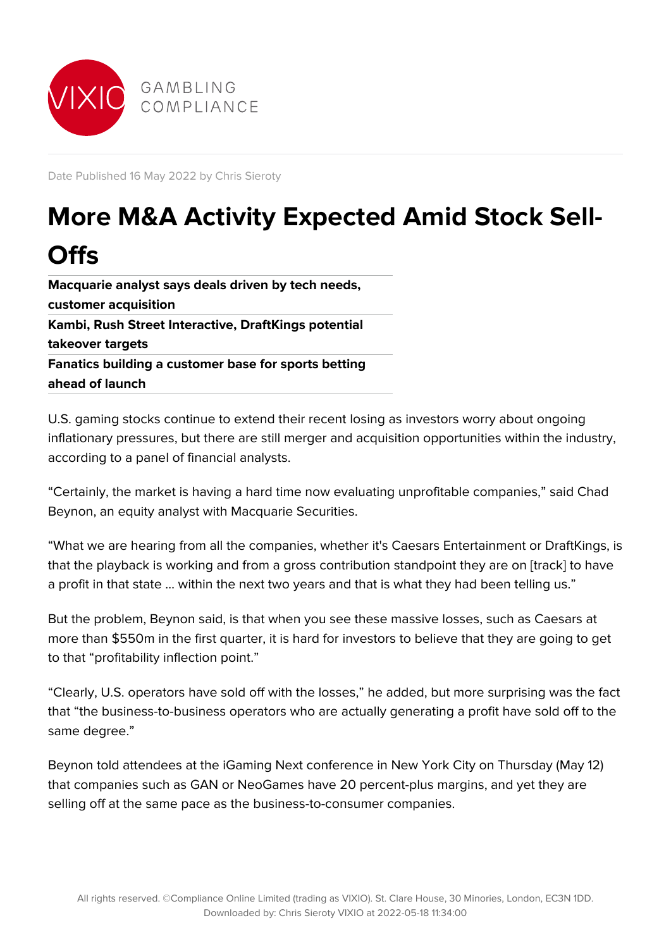

Date Published 16 May 2022 by Chris Sieroty

## **More M&A Activity Expected Amid Stock Sell-Offs**

**Macquarie analyst says deals driven by tech needs, customer acquisition Kambi, Rush Street Interactive, DraftKings potential takeover targets Fanatics building a customer base for sports betting ahead of launch**

U.S. gaming stocks continue to extend their recent losing as investors worry about ongoing inflationary pressures, but there are still merger and acquisition opportunities within the industry, according to a panel of financial analysts.

"Certainly, the market is having a hard time now evaluating unprofitable companies," said Chad Beynon, an equity analyst with Macquarie Securities.

"What we are hearing from all the companies, whether it's Caesars Entertainment or DraftKings, is that the playback is working and from a gross contribution standpoint they are on [track] to have a profit in that state … within the next two years and that is what they had been telling us."

But the problem, Beynon said, is that when you see these massive losses, such as Caesars at more than \$550m in the first quarter, it is hard for investors to believe that they are going to get to that "profitability inflection point."

"Clearly, U.S. operators have sold off with the losses," he added, but more surprising was the fact that "the business-to-business operators who are actually generating a profit have sold off to the same degree."

Beynon told attendees at the iGaming Next conference in New York City on Thursday (May 12) that companies such as GAN or NeoGames have 20 percent-plus margins, and yet they are selling off at the same pace as the business-to-consumer companies.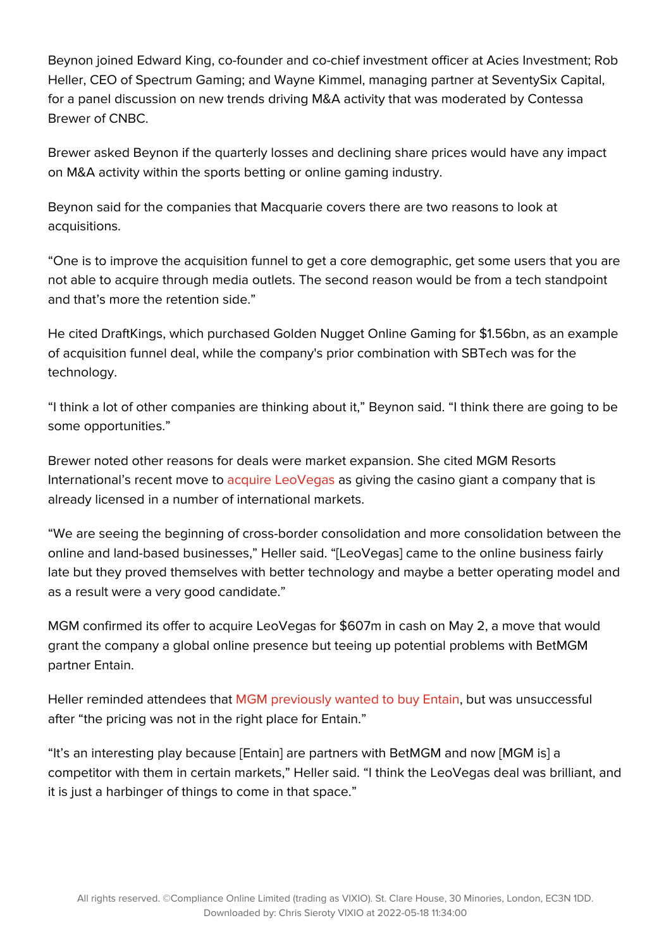Beynon joined Edward King, co-founder and co-chief investment officer at Acies Investment; Rob Heller, CEO of Spectrum Gaming; and Wayne Kimmel, managing partner at SeventySix Capital, for a panel discussion on new trends driving M&A activity that was moderated by Contessa Brewer of CNBC.

Brewer asked Beynon if the quarterly losses and declining share prices would have any impact on M&A activity within the sports betting or online gaming industry.

Beynon said for the companies that Macquarie covers there are two reasons to look at acquisitions.

"One is to improve the acquisition funnel to get a core demographic, get some users that you are not able to acquire through media outlets. The second reason would be from a tech standpoint and that's more the retention side."

He cited DraftKings, which purchased Golden Nugget Online Gaming for \$1.56bn, as an example of acquisition funnel deal, while the company's prior combination with SBTech was for the technology.

"I think a lot of other companies are thinking about it," Beynon said. "I think there are going to be some opportunities."

Brewer noted other reasons for deals were market expansion. She cited MGM Resorts International's recent move to [acquire LeoVegas](https://gc.vixio.com/insights-analysis/leovegas-deal-gives-mgm-resorts-profitable-european-foothold) as giving the casino giant a company that is already licensed in a number of international markets.

"We are seeing the beginning of cross-border consolidation and more consolidation between the online and land-based businesses," Heller said. "[LeoVegas] came to the online business fairly late but they proved themselves with better technology and maybe a better operating model and as a result were a very good candidate."

MGM confirmed its offer to acquire LeoVegas for \$607m in cash on May 2, a move that would grant the company a global online presence but teeing up potential problems with BetMGM partner Entain.

Heller reminded attendees that [MGM previously wanted to buy Entain,](https://gc.vixio.com/insights-analysis/mgm-walks-away-entain-bid) but was unsuccessful after "the pricing was not in the right place for Entain."

"It's an interesting play because [Entain] are partners with BetMGM and now [MGM is] a competitor with them in certain markets," Heller said. "I think the LeoVegas deal was brilliant, and it is just a harbinger of things to come in that space."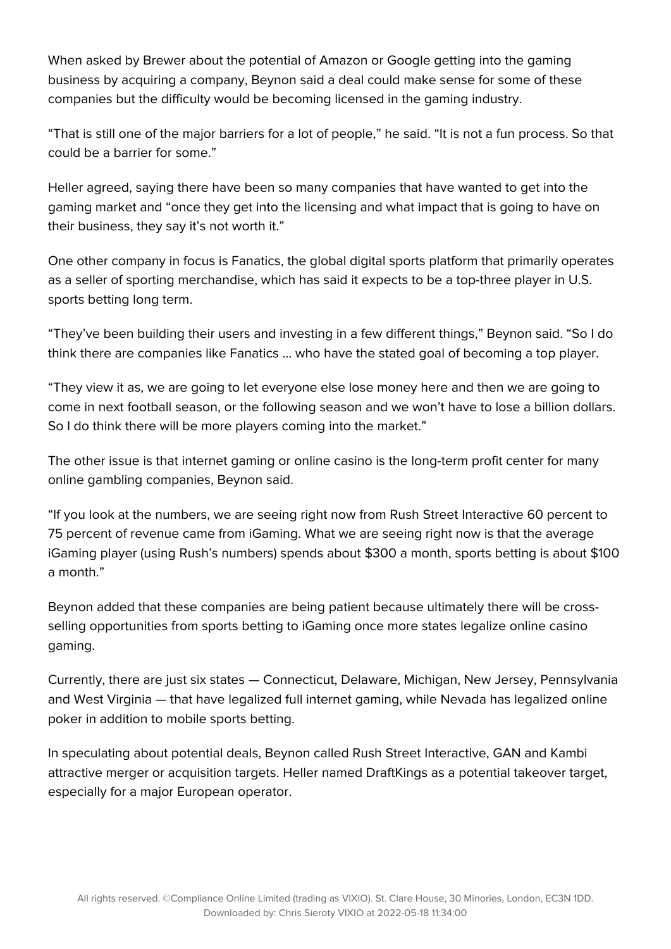When asked by Brewer about the potential of Amazon or Google getting into the gaming business by acquiring a company, Beynon said a deal could make sense for some of these companies but the difficulty would be becoming licensed in the gaming industry.

"That is still one of the major barriers for a lot of people," he said. "It is not a fun process. So that could be a barrier for some."

Heller agreed, saying there have been so many companies that have wanted to get into the gaming market and "once they get into the licensing and what impact that is going to have on their business, they say it's not worth it."

One other company in focus is Fanatics, the global digital sports platform that primarily operates as a seller of sporting merchandise, which has said it expects to be a top-three player in U.S. sports betting long term.

"They've been building their users and investing in a few different things," Beynon said. "So I do think there are companies like Fanatics … who have the stated goal of becoming a top player.

"They view it as, we are going to let everyone else lose money here and then we are going to come in next football season, or the following season and we won't have to lose a billion dollars. So I do think there will be more players coming into the market."

The other issue is that internet gaming or online casino is the long-term profit center for many online gambling companies, Beynon said.

"If you look at the numbers, we are seeing right now from Rush Street Interactive 60 percent to 75 percent of revenue came from iGaming. What we are seeing right now is that the average iGaming player (using Rush's numbers) spends about \$300 a month, sports betting is about \$100 a month."

Beynon added that these companies are being patient because ultimately there will be crossselling opportunities from sports betting to iGaming once more states legalize online casino gaming.

Currently, there are just six states — Connecticut, Delaware, Michigan, New Jersey, Pennsylvania and West Virginia — that have legalized full internet gaming, while Nevada has legalized online poker in addition to mobile sports betting.

In speculating about potential deals, Beynon called Rush Street Interactive, GAN and Kambi attractive merger or acquisition targets. Heller named DraftKings as a potential takeover target, especially for a major European operator.